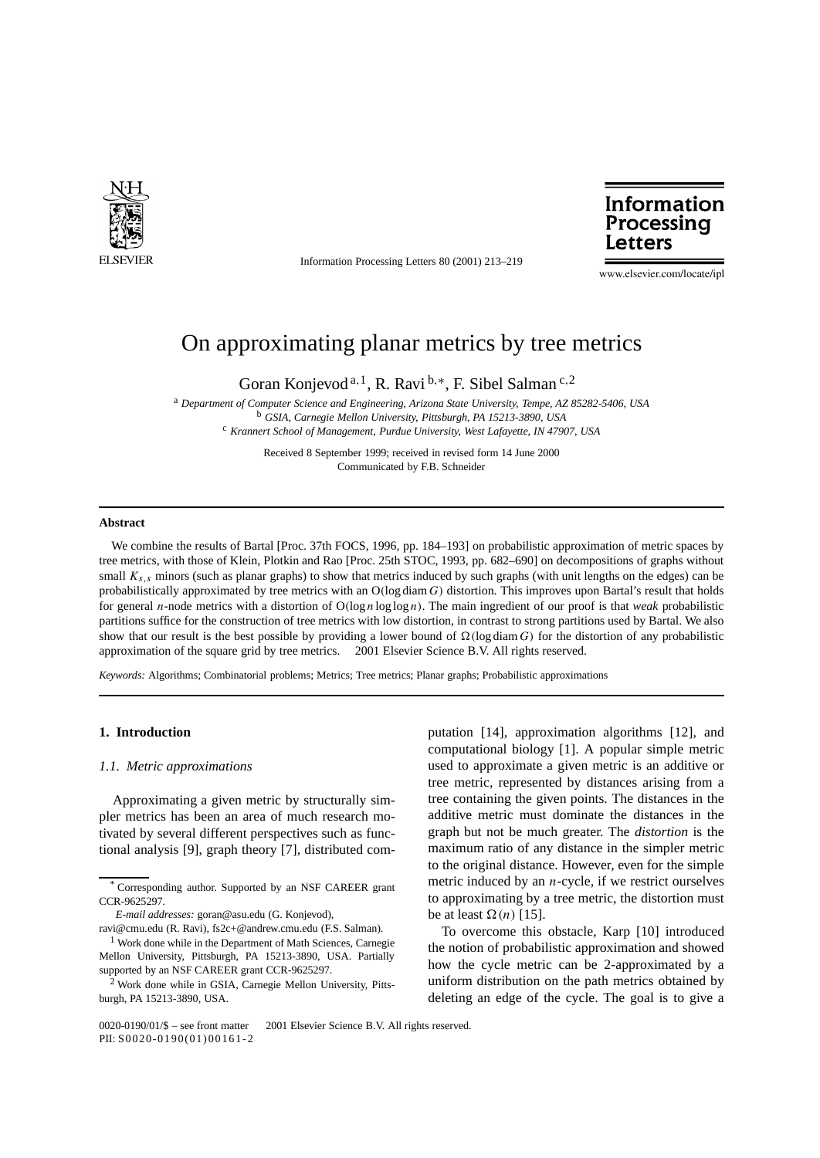

Information Processing Letters 80 (2001) 213–219



www.elsevier.com/locate/ipl

# On approximating planar metrics by tree metrics

Goran Konjevod <sup>a</sup>*,*1, R. Ravi <sup>b</sup>*,*∗, F. Sibel Salman <sup>c</sup>*,*<sup>2</sup>

<sup>a</sup> *Department of Computer Science and Engineering, Arizona State University, Tempe, AZ 85282-5406, USA* <sup>b</sup> *GSIA, Carnegie Mellon University, Pittsburgh, PA 15213-3890, USA*

<sup>c</sup> *Krannert School of Management, Purdue University, West Lafayette, IN 47907, USA*

Received 8 September 1999; received in revised form 14 June 2000 Communicated by F.B. Schneider

#### **Abstract**

We combine the results of Bartal [Proc. 37th FOCS, 1996, pp. 184–193] on probabilistic approximation of metric spaces by tree metrics, with those of Klein, Plotkin and Rao [Proc. 25th STOC, 1993, pp. 682–690] on decompositions of graphs without small  $K_{s,s}$  minors (such as planar graphs) to show that metrics induced by such graphs (with unit lengths on the edges) can be probabilistically approximated by tree metrics with an O*(*log diam *G)* distortion. This improves upon Bartal's result that holds for general *n*-node metrics with a distortion of O*(*log *n* log log *n)*. The main ingredient of our proof is that *weak* probabilistic partitions suffice for the construction of tree metrics with low distortion, in contrast to strong partitions used by Bartal. We also show that our result is the best possible by providing a lower bound of  $\Omega$  (log diam *G*) for the distortion of any probabilistic approximation of the square grid by tree metrics.  $\odot$  2001 Elsevier Science B.V. All rights reserved.

*Keywords:* Algorithms; Combinatorial problems; Metrics; Tree metrics; Planar graphs; Probabilistic approximations

#### **1. Introduction**

#### *1.1. Metric approximations*

Approximating a given metric by structurally simpler metrics has been an area of much research motivated by several different perspectives such as functional analysis [9], graph theory [7], distributed computation [14], approximation algorithms [12], and computational biology [1]. A popular simple metric used to approximate a given metric is an additive or tree metric, represented by distances arising from a tree containing the given points. The distances in the additive metric must dominate the distances in the graph but not be much greater. The *distortion* is the maximum ratio of any distance in the simpler metric to the original distance. However, even for the simple metric induced by an *n*-cycle, if we restrict ourselves to approximating by a tree metric, the distortion must be at least  $\Omega(n)$  [15].

To overcome this obstacle, Karp [10] introduced the notion of probabilistic approximation and showed how the cycle metric can be 2-approximated by a uniform distribution on the path metrics obtained by deleting an edge of the cycle. The goal is to give a

Corresponding author. Supported by an NSF CAREER grant CCR-9625297.

*E-mail addresses:* goran@asu.edu (G. Konjevod),

ravi@cmu.edu (R. Ravi), fs2c+@andrew.cmu.edu (F.S. Salman).

<sup>&</sup>lt;sup>1</sup> Work done while in the Department of Math Sciences, Carnegie Mellon University, Pittsburgh, PA 15213-3890, USA. Partially supported by an NSF CAREER grant CCR-9625297.

 $2$  Work done while in GSIA, Carnegie Mellon University, Pittsburgh, PA 15213-3890, USA.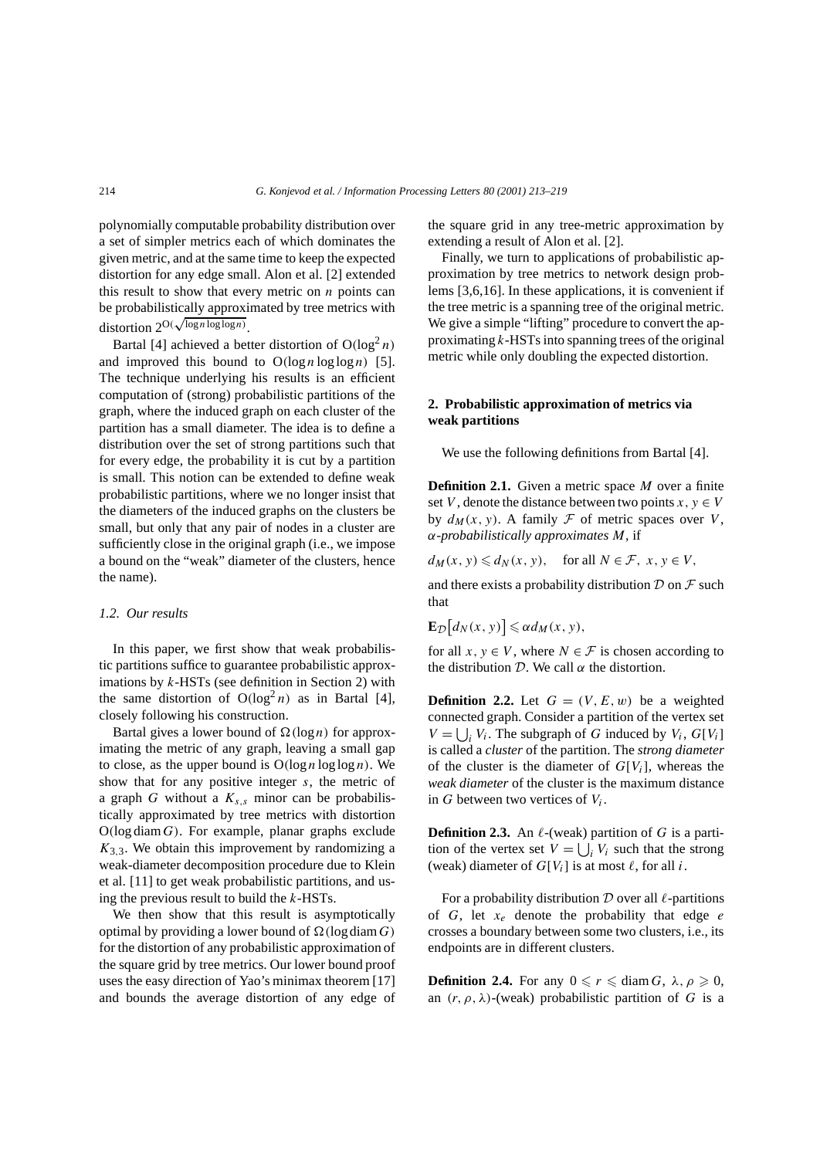polynomially computable probability distribution over a set of simpler metrics each of which dominates the given metric, and at the same time to keep the expected distortion for any edge small. Alon et al. [2] extended this result to show that every metric on *n* points can be probabilistically approximated by tree metrics with distortion 2O*(* <sup>√</sup>log*<sup>n</sup>* log log*n)*.

Bartal [4] achieved a better distortion of  $O(log<sup>2</sup> n)$ and improved this bound to  $O(\log n \log \log n)$  [5]. The technique underlying his results is an efficient computation of (strong) probabilistic partitions of the graph, where the induced graph on each cluster of the partition has a small diameter. The idea is to define a distribution over the set of strong partitions such that for every edge, the probability it is cut by a partition is small. This notion can be extended to define weak probabilistic partitions, where we no longer insist that the diameters of the induced graphs on the clusters be small, but only that any pair of nodes in a cluster are sufficiently close in the original graph (i.e., we impose a bound on the "weak" diameter of the clusters, hence the name).

# *1.2. Our results*

In this paper, we first show that weak probabilistic partitions suffice to guarantee probabilistic approximations by *k*-HSTs (see definition in Section 2) with the same distortion of  $O(log<sup>2</sup> n)$  as in Bartal [4], closely following his construction.

Bartal gives a lower bound of  $\Omega(\log n)$  for approximating the metric of any graph, leaving a small gap to close, as the upper bound is  $O(\log n \log \log n)$ . We show that for any positive integer *s*, the metric of a graph *G* without a  $K_{s,s}$  minor can be probabilistically approximated by tree metrics with distortion O*(*log diam*G)*. For example, planar graphs exclude  $K_{3,3}$ . We obtain this improvement by randomizing a weak-diameter decomposition procedure due to Klein et al. [11] to get weak probabilistic partitions, and using the previous result to build the *k*-HSTs.

We then show that this result is asymptotically optimal by providing a lower bound of  $\Omega(\log \dim G)$ for the distortion of any probabilistic approximation of the square grid by tree metrics. Our lower bound proof uses the easy direction of Yao's minimax theorem [17] and bounds the average distortion of any edge of the square grid in any tree-metric approximation by extending a result of Alon et al. [2].

Finally, we turn to applications of probabilistic approximation by tree metrics to network design problems [3,6,16]. In these applications, it is convenient if the tree metric is a spanning tree of the original metric. We give a simple "lifting" procedure to convert the approximating *k*-HSTs into spanning trees of the original metric while only doubling the expected distortion.

# **2. Probabilistic approximation of metrics via weak partitions**

We use the following definitions from Bartal [4].

**Definition 2.1.** Given a metric space *M* over a finite set *V*, denote the distance between two points  $x, y \in V$ by  $d_M(x, y)$ . A family F of metric spaces over V, *α*-*probabilistically approximates M*, if

 $d_M(x, y) \le d_N(x, y)$ , for all  $N \in \mathcal{F}$ ,  $x, y \in V$ ,

and there exists a probability distribution  $\mathcal D$  on  $\mathcal F$  such that

$$
\mathbf{E}_{\mathcal{D}}[d_N(x, y)] \leqslant \alpha d_M(x, y),
$$

for all  $x, y \in V$ , where  $N \in \mathcal{F}$  is chosen according to the distribution  $D$ . We call  $\alpha$  the distortion.

**Definition 2.2.** Let  $G = (V, E, w)$  be a weighted connected graph. Consider a partition of the vertex set  $V = \bigcup_i V_i$ . The subgraph of *G* induced by  $V_i$ ,  $G[V_i]$ is called a *cluster* of the partition. The *strong diameter* of the cluster is the diameter of *G*[*Vi*], whereas the *weak diameter* of the cluster is the maximum distance in *G* between two vertices of *Vi*.

**Definition 2.3.** An  $\ell$ -(weak) partition of *G* is a partition of the vertex set  $V = \bigcup_i V_i$  such that the strong (weak) diameter of  $G[V_i]$  is at most  $\ell$ , for all *i*.

For a probability distribution  $D$  over all  $\ell$ -partitions of *G*, let *xe* denote the probability that edge *e* crosses a boundary between some two clusters, i.e., its endpoints are in different clusters.

**Definition 2.4.** For any  $0 \le r \le \text{diam } G$ ,  $\lambda, \rho \ge 0$ , an  $(r, \rho, \lambda)$ -(weak) probabilistic partition of *G* is a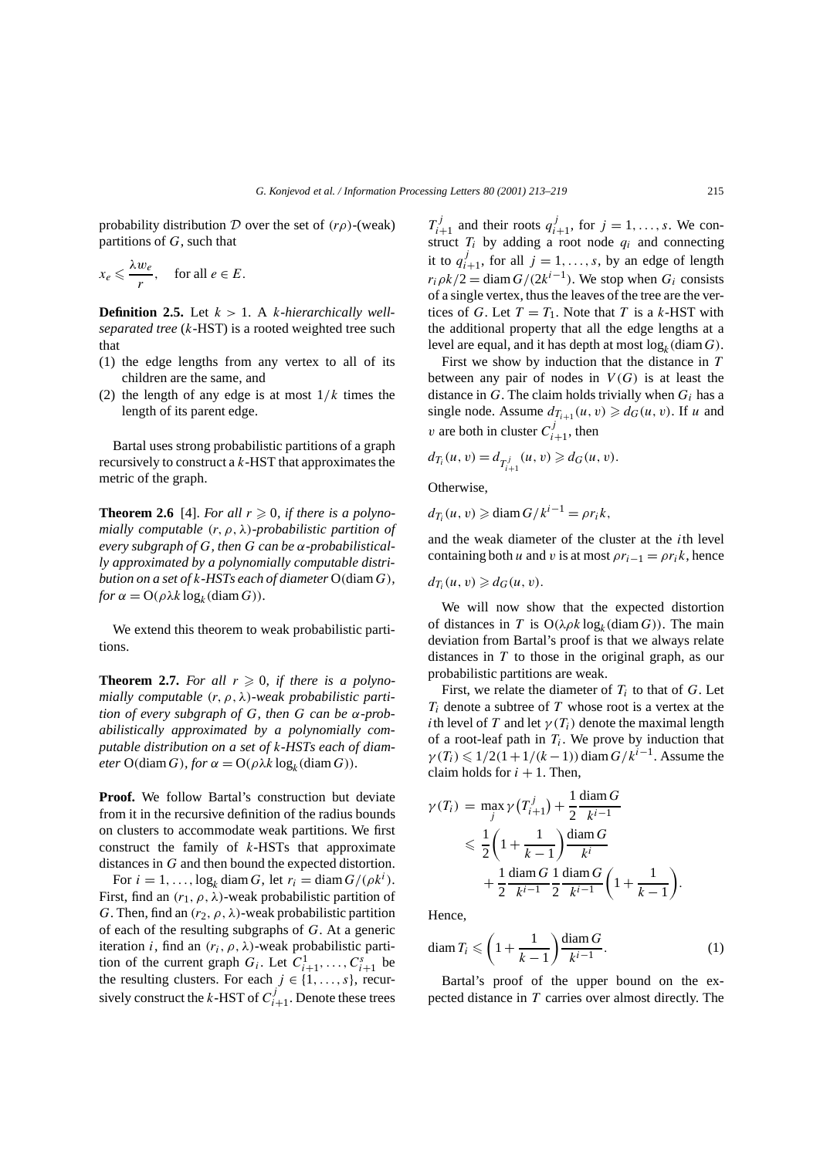probability distribution D over the set of *(rρ)*-(weak) partitions of *G*, such that

$$
x_e \leqslant \frac{\lambda w_e}{r}, \quad \text{for all } e \in E.
$$

**Definition 2.5.** Let  $k > 1$ . A *k*-*hierarchically wellseparated tree* (*k*-HST) is a rooted weighted tree such that

- (1) the edge lengths from any vertex to all of its children are the same, and
- (2) the length of any edge is at most  $1/k$  times the length of its parent edge.

Bartal uses strong probabilistic partitions of a graph recursively to construct a *k*-HST that approximates the metric of the graph.

**Theorem 2.6** [4]. *For all*  $r \ge 0$ *, if there is a polynomially computable (r, ρ, λ)-probabilistic partition of every subgraph of G, then G can be α-probabilistically approximated by a polynomially computable distribution on a set of k-HSTs each of diameter* O*(*diam *G), for*  $\alpha = O(\rho \lambda k \log_k(\text{diam } G)).$ 

We extend this theorem to weak probabilistic partitions.

**Theorem 2.7.** For all  $r \ge 0$ , if there is a polyno*mially computable (r, ρ, λ)-weak probabilistic partition of every subgraph of G, then G can be α-probabilistically approximated by a polynomially computable distribution on a set of k-HSTs each of diameter*  $O(\text{diam } G)$ *, for*  $\alpha = O(\rho \lambda k \log_k(\text{diam } G))$ *.* 

**Proof.** We follow Bartal's construction but deviate from it in the recursive definition of the radius bounds on clusters to accommodate weak partitions. We first construct the family of *k*-HSTs that approximate distances in *G* and then bound the expected distortion.

For  $i = 1, ..., \log_k \text{diam } G$ , let  $r_i = \text{diam } G/(\rho k^i)$ . First, find an  $(r_1, \rho, \lambda)$ -weak probabilistic partition of *G*. Then, find an  $(r_2, \rho, \lambda)$ -weak probabilistic partition of each of the resulting subgraphs of *G*. At a generic iteration *i*, find an  $(r_i, \rho, \lambda)$ -weak probabilistic partition of the current graph  $G_i$ . Let  $C_{i+1}^1, \ldots, C_{i+1}^s$  be the resulting clusters. For each  $j \in \{1, \ldots, s\}$ , recursively construct the *k*-HST of  $C^{j}_{i+1}$ . Denote these trees

 $T_{i+1}^j$  and their roots  $q_{i+1}^j$ , for  $j = 1, \ldots, s$ . We construct  $T_i$  by adding a root node  $q_i$  and connecting it to  $q_{i+1}^j$ , for all  $j = 1, ..., s$ , by an edge of length  $r_i \rho k/2 = \text{diam } G/(2k^{i-1})$ . We stop when  $G_i$  consists of a single vertex, thus the leaves of the tree are the vertices of *G*. Let  $T = T_1$ . Note that *T* is a *k*-HST with the additional property that all the edge lengths at a level are equal, and it has depth at most  $log_k(diam G)$ .

First we show by induction that the distance in *T* between any pair of nodes in  $V(G)$  is at least the distance in  $G$ . The claim holds trivially when  $G_i$  has a single node. Assume  $d_{T_{i+1}}(u, v) \geq d_G(u, v)$ . If *u* and *v* are both in cluster  $C_{i+1}^j$ , then

$$
d_{T_i}(u, v) = d_{T_{i+1}^j}(u, v) \geq d_G(u, v).
$$

Otherwise,

$$
d_{T_i}(u, v) \geq \text{diam}\, G/k^{i-1} = \rho r_i k,
$$

and the weak diameter of the cluster at the *i*th level containing both *u* and *v* is at most  $\rho r_{i-1} = \rho r_i k$ , hence

$$
d_{T_i}(u, v) \geq d_G(u, v).
$$

We will now show that the expected distortion of distances in *T* is  $O(\lambda \rho k \log_k(\text{diam } G))$ . The main deviation from Bartal's proof is that we always relate distances in *T* to those in the original graph, as our probabilistic partitions are weak.

First, we relate the diameter of  $T_i$  to that of  $G$ . Let *Ti* denote a subtree of *T* whose root is a vertex at the *i*th level of *T* and let  $\gamma(T_i)$  denote the maximal length of a root-leaf path in  $T_i$ . We prove by induction that  $\gamma(T_i) \leq 1/2(1+1/(k-1))$  diam  $G/k^{i-1}$ . Assume the claim holds for  $i + 1$ . Then,

$$
\gamma(T_i) = \max_{j} \gamma(T_{i+1}^j) + \frac{1}{2} \frac{\text{diam } G}{k^{i-1}}
$$
  
\$\leq \frac{1}{2} \left(1 + \frac{1}{k-1}\right) \frac{\text{diam } G}{k^{i}}\$  
\$+ \frac{1}{2} \frac{\text{diam } G}{k^{i-1}} \frac{1}{2} \frac{\text{diam } G}{k^{i-1}} \left(1 + \frac{1}{k-1}\right)\$

Hence,

$$
\operatorname{diam} T_i \leqslant \left(1 + \frac{1}{k-1}\right) \frac{\operatorname{diam} G}{k^{i-1}}.\tag{1}
$$

*.*

Bartal's proof of the upper bound on the expected distance in *T* carries over almost directly. The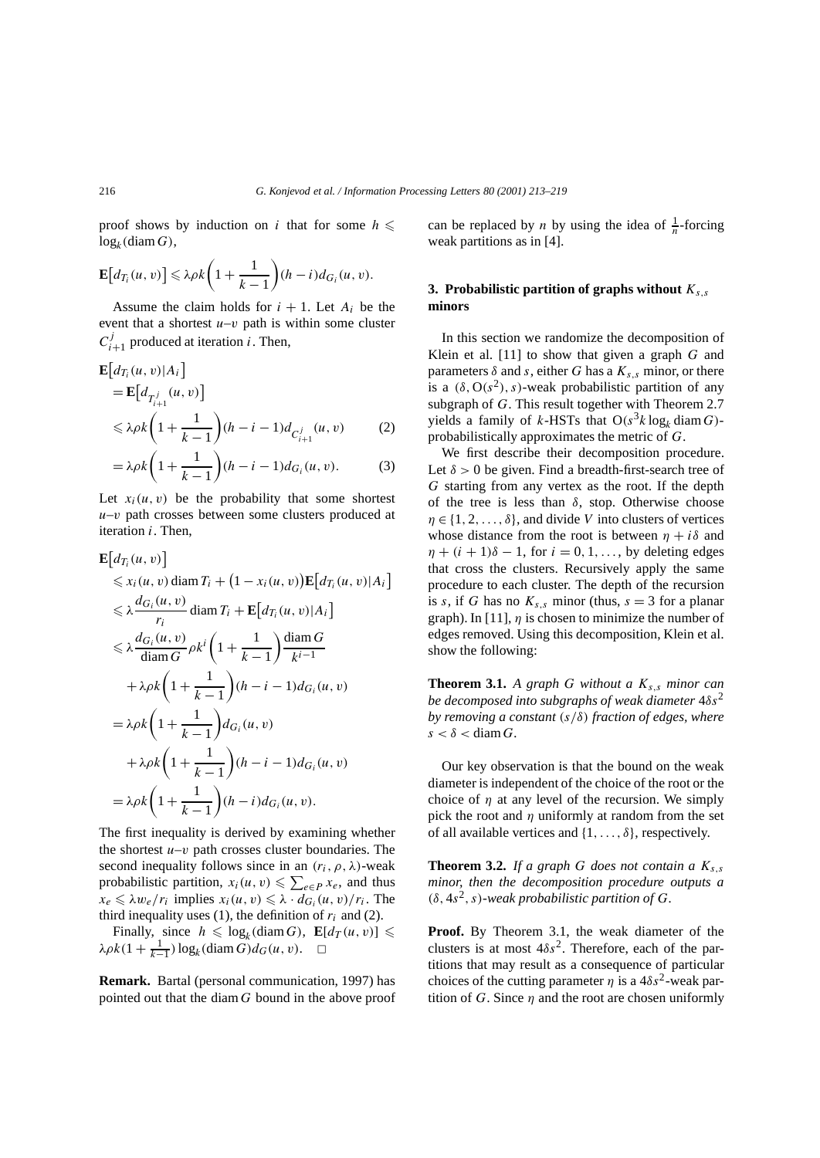1

proof shows by induction on *i* that for some  $h \leq$  $log_k(diam G)$ ,

$$
\mathbf{E}\big[d_{T_i}(u,v)\big] \leq \lambda \rho k \bigg(1+\frac{1}{k-1}\bigg)(h-i)d_{G_i}(u,v).
$$

Assume the claim holds for  $i + 1$ . Let  $A_i$  be the event that a shortest  $u-v$  path is within some cluster  $C_{i+1}^j$  produced at iteration *i*. Then,

$$
\mathbf{E}\Big[d_{T_i}(u,v)|A_i\Big] \n= \mathbf{E}\Big[d_{T_{i+1}^j}(u,v)\Big] \n\leq \lambda \rho k \bigg(1 + \frac{1}{k-1}\bigg)(h - i - 1)d_{C_{i+1}^j}(u,v) \qquad (2)
$$

$$
= \lambda \rho k \left( 1 + \frac{1}{k-1} \right) (h - i - 1) d_{G_i}(u, v). \tag{3}
$$

Let  $x_i(u, v)$  be the probability that some shortest *u*–*v* path crosses between some clusters produced at iteration *i*. Then,

$$
\mathbf{E}\Big[d_{T_i}(u, v)\Big] \leq x_i(u, v) \operatorname{diam} T_i + (1 - x_i(u, v))\mathbf{E}\Big[d_{T_i}(u, v)|A_i
$$
\n
$$
\leq \lambda \frac{d_{G_i}(u, v)}{r_i} \operatorname{diam} T_i + \mathbf{E}\Big[d_{T_i}(u, v)|A_i\Big]
$$
\n
$$
\leq \lambda \frac{d_{G_i}(u, v)}{\operatorname{diam} G} \rho k^i \left(1 + \frac{1}{k-1}\right) \frac{\operatorname{diam} G}{k^{i-1}}
$$
\n
$$
+ \lambda \rho k \left(1 + \frac{1}{k-1}\right) (h - i - 1) d_{G_i}(u, v)
$$
\n
$$
= \lambda \rho k \left(1 + \frac{1}{k-1}\right) (h - i - 1) d_{G_i}(u, v)
$$
\n
$$
+ \lambda \rho k \left(1 + \frac{1}{k-1}\right) (h - i - 1) d_{G_i}(u, v)
$$
\n
$$
= \lambda \rho k \left(1 + \frac{1}{k-1}\right) (h - i) d_{G_i}(u, v).
$$

The first inequality is derived by examining whether the shortest  $u-v$  path crosses cluster boundaries. The second inequality follows since in an  $(r_i, \rho, \lambda)$ -weak probabilistic partition,  $x_i(u, v) \leq \sum_{e \in P} x_e$ , and thus  $x_e \le \lambda w_e/r_i$  implies  $x_i(u, v) \le \lambda \cdot d_{G_i}(u, v)/r_i$ . The third inequality uses  $(1)$ , the definition of  $r_i$  and  $(2)$ .

Finally, since  $h \leq \log_k(\text{diam } G)$ ,  $\mathbf{E}[d_T(u, v)] \leq$  $\lambda \rho k(1 + \frac{1}{k-1}) \log_k(\text{diam } G) d_G(u, v).$   $\Box$ 

**Remark.** Bartal (personal communication, 1997) has pointed out that the diam *G* bound in the above proof

can be replaced by *n* by using the idea of  $\frac{1}{n}$ -forcing weak partitions as in [4].

# **3. Probabilistic partition of graphs without** *Ks,s* **minors**

In this section we randomize the decomposition of Klein et al. [11] to show that given a graph *G* and parameters  $\delta$  and  $s$ , either  $G$  has a  $K_{s,s}$  minor, or there is a  $(\delta, O(s^2), s)$ -weak probabilistic partition of any subgraph of *G*. This result together with Theorem 2.7 yields a family of *k*-HSTs that  $O(s^3 k \log_k \text{diam } G)$ probabilistically approximates the metric of *G*.

We first describe their decomposition procedure. Let  $\delta > 0$  be given. Find a breadth-first-search tree of *G* starting from any vertex as the root. If the depth of the tree is less than  $\delta$ , stop. Otherwise choose  $\eta \in \{1, 2, \ldots, \delta\}$ , and divide *V* into clusters of vertices whose distance from the root is between  $\eta + i\delta$  and  $\eta + (i + 1)\delta - 1$ , for  $i = 0, 1, \ldots$ , by deleting edges that cross the clusters. Recursively apply the same procedure to each cluster. The depth of the recursion is *s*, if *G* has no  $K_{s,s}$  minor (thus,  $s = 3$  for a planar graph). In [11],  $\eta$  is chosen to minimize the number of edges removed. Using this decomposition, Klein et al. show the following:

**Theorem 3.1.** *A graph G without a Ks,s minor can be decomposed into subgraphs of weak diameter* 4*δs*<sup>2</sup> *by removing a constant (s/δ) fraction of edges, where*  $s < \delta <$  diam *G*.

Our key observation is that the bound on the weak diameter is independent of the choice of the root or the choice of  $\eta$  at any level of the recursion. We simply pick the root and *η* uniformly at random from the set of all available vertices and {1*,...,δ*}, respectively.

**Theorem 3.2.** *If a graph G does not contain a*  $K_{s,s}$ *minor, then the decomposition procedure outputs a*  $(δ, 4s<sup>2</sup>, s)$ *-weak probabilistic partition of G*.

**Proof.** By Theorem 3.1, the weak diameter of the clusters is at most  $4\delta s^2$ . Therefore, each of the partitions that may result as a consequence of particular choices of the cutting parameter  $\eta$  is a  $4\delta s^2$ -weak partition of *G*. Since *η* and the root are chosen uniformly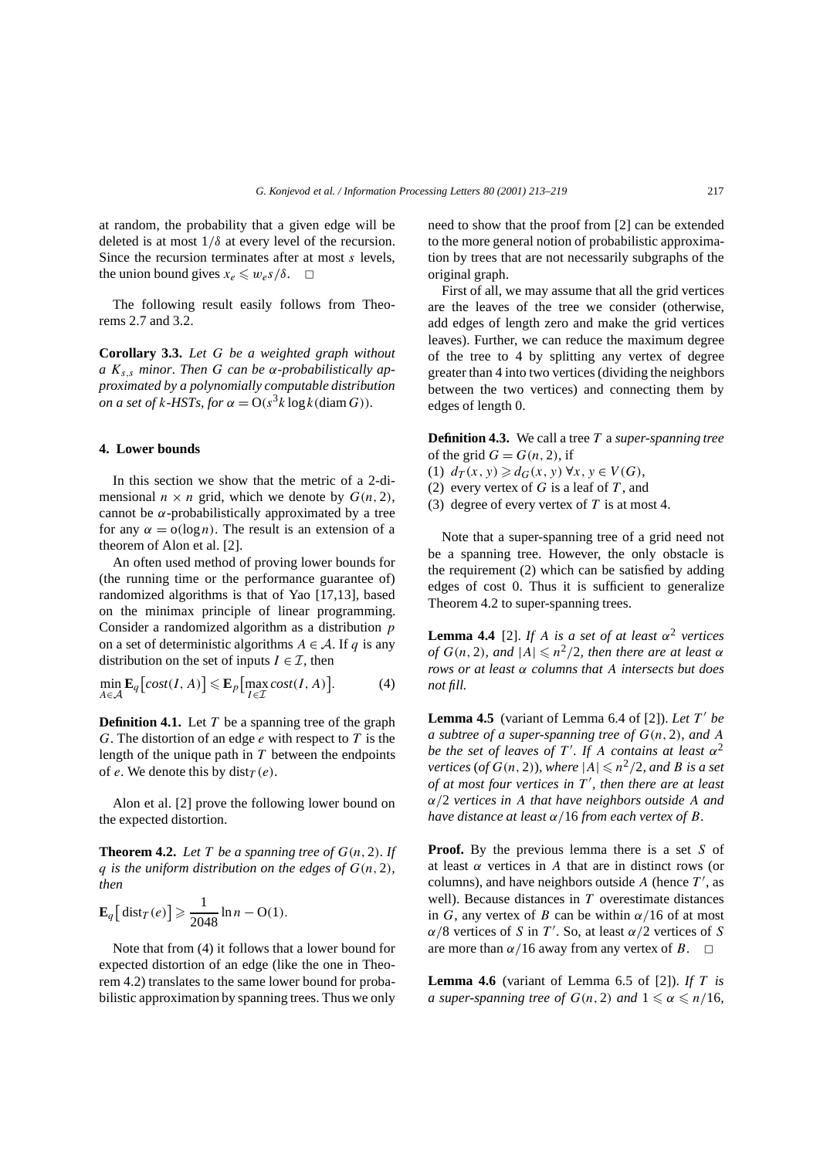at random, the probability that a given edge will be deleted is at most 1*/δ* at every level of the recursion. Since the recursion terminates after at most *s* levels, the union bound gives  $x_e \leq w_e s/\delta$ .  $\Box$ 

The following result easily follows from Theorems 2.7 and 3.2.

**Corollary 3.3.** *Let G be a weighted graph without a Ks,s minor. Then G can be α-probabilistically approximated by a polynomially computable distribution on a set of k-HSTs, for*  $\alpha = O(s^3 k \log k(\text{diam } G))$ *.* 

# **4. Lower bounds**

In this section we show that the metric of a 2-dimensional  $n \times n$  grid, which we denote by  $G(n, 2)$ , cannot be  $\alpha$ -probabilistically approximated by a tree for any  $\alpha = o(\log n)$ . The result is an extension of a theorem of Alon et al. [2].

An often used method of proving lower bounds for (the running time or the performance guarantee of) randomized algorithms is that of Yao [17,13], based on the minimax principle of linear programming. Consider a randomized algorithm as a distribution *p* on a set of deterministic algorithms  $A \in \mathcal{A}$ . If *q* is any distribution on the set of inputs  $I \in \mathcal{I}$ , then

$$
\min_{A \in \mathcal{A}} \mathbf{E}_q \big[ cost(I, A) \big] \leqslant \mathbf{E}_p \big[ \max_{I \in \mathcal{I}} cost(I, A) \big]. \tag{4}
$$

**Definition 4.1.** Let *T* be a spanning tree of the graph *G*. The distortion of an edge *e* with respect to *T* is the length of the unique path in *T* between the endpoints of *e*. We denote this by dist $T(e)$ .

Alon et al. [2] prove the following lower bound on the expected distortion.

**Theorem 4.2.** Let  $T$  be a spanning tree of  $G(n, 2)$ *.* If *q* is the uniform distribution on the edges of  $G(n, 2)$ *, then*

$$
\mathbf{E}_q\big[\operatorname{dist}_T(e)\big] \geq \frac{1}{2048}\ln n - \mathcal{O}(1).
$$

Note that from (4) it follows that a lower bound for expected distortion of an edge (like the one in Theorem 4.2) translates to the same lower bound for probabilistic approximation by spanning trees. Thus we only need to show that the proof from [2] can be extended to the more general notion of probabilistic approximation by trees that are not necessarily subgraphs of the original graph.

First of all, we may assume that all the grid vertices are the leaves of the tree we consider (otherwise, add edges of length zero and make the grid vertices leaves). Further, we can reduce the maximum degree of the tree to 4 by splitting any vertex of degree greater than 4 into two vertices (dividing the neighbors between the two vertices) and connecting them by edges of length 0.

**Definition 4.3.** We call a tree *T* a *super-spanning tree* of the grid  $G = G(n, 2)$ , if

- (1)  $d_T(x, y) \geq d_G(x, y) \forall x, y \in V(G)$ ,
- (2) every vertex of *G* is a leaf of *T* , and
- (3) degree of every vertex of *T* is at most 4.

Note that a super-spanning tree of a grid need not be a spanning tree. However, the only obstacle is the requirement (2) which can be satisfied by adding edges of cost 0. Thus it is sufficient to generalize Theorem 4.2 to super-spanning trees.

**Lemma 4.4** [2]. *If A is a set of at least*  $\alpha^2$  *vertices of*  $G(n, 2)$ *, and*  $|A| \leq n^2/2$ *, then there are at least*  $\alpha$ *rows or at least α columns that A intersects but does not fill.*

**Lemma 4.5** (variant of Lemma 6.4 of [2]). Let  $T'$  be *a subtree of a super-spanning tree of*  $G(n, 2)$ *, and* A *be the set of leaves of T'. If A contains at least*  $\alpha^2$ *vertices* (*of*  $G(n, 2)$ *), where*  $|A| \le n^2/2$ *, and B is a set of at most four vertices in T , then there are at least α/*2 *vertices in A that have neighbors outside A and have distance at least α/*16 *from each vertex of B.*

**Proof.** By the previous lemma there is a set *S* of at least *α* vertices in *A* that are in distinct rows (or columns), and have neighbors outside  $A$  (hence  $T'$ , as well). Because distances in *T* overestimate distances in *G*, any vertex of *B* can be within  $\alpha/16$  of at most  $\alpha/8$  vertices of *S* in *T'*. So, at least  $\alpha/2$  vertices of *S* are more than  $\alpha/16$  away from any vertex of *B*.  $\Box$ 

**Lemma 4.6** (variant of Lemma 6.5 of [2]). *If T is a* super-spanning tree of  $G(n, 2)$  and  $1 \le \alpha \le n/16$ ,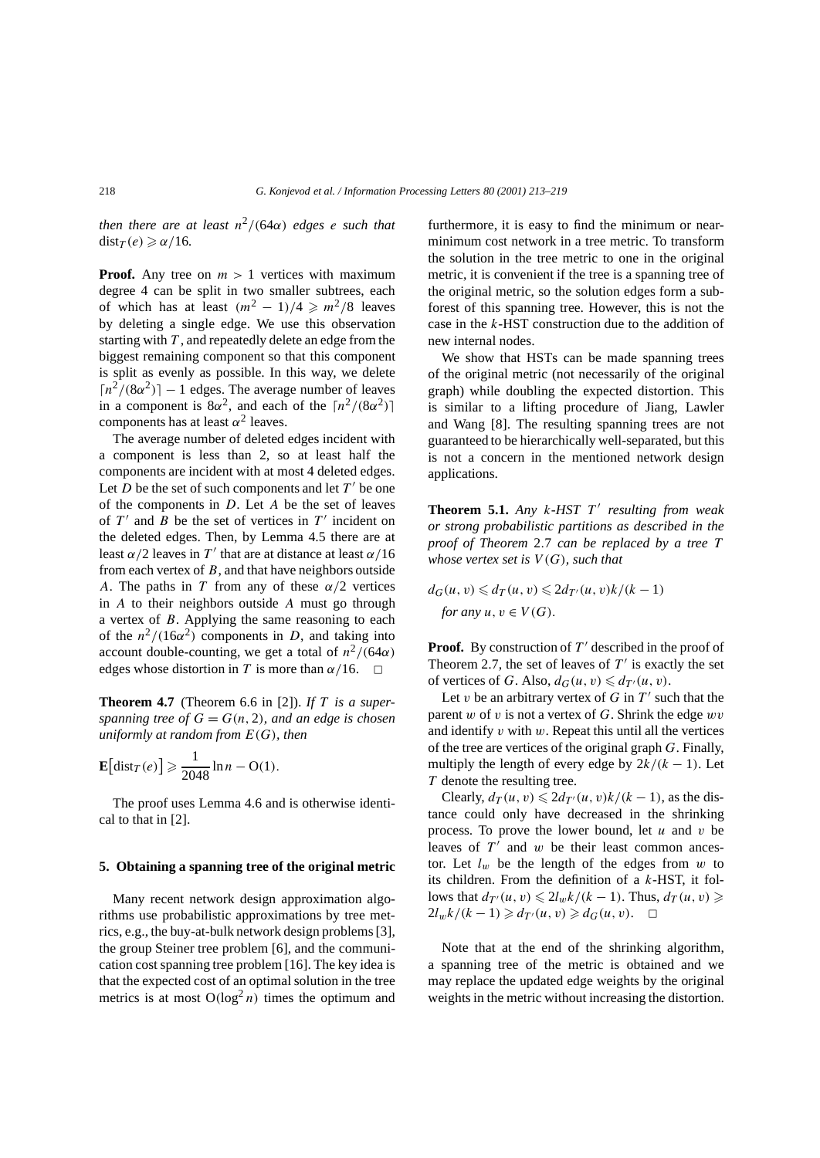*then there are at least*  $n^2/(64\alpha)$  *edges e such that*  $dist_T(e) \geqslant \alpha/16$ *.* 

**Proof.** Any tree on  $m > 1$  vertices with maximum degree 4 can be split in two smaller subtrees, each of which has at least  $(m^2 - 1)/4 \ge m^2/8$  leaves by deleting a single edge. We use this observation starting with *T* , and repeatedly delete an edge from the biggest remaining component so that this component is split as evenly as possible. In this way, we delete  $\lceil n^2/(8\alpha^2) \rceil - 1$  edges. The average number of leaves in a component is  $8\alpha^2$ , and each of the  $\lceil n^2/(8\alpha^2) \rceil$ components has at least  $\alpha^2$  leaves.

The average number of deleted edges incident with a component is less than 2, so at least half the components are incident with at most 4 deleted edges. Let *D* be the set of such components and let  $T'$  be one of the components in *D*. Let *A* be the set of leaves of  $T'$  and  $B$  be the set of vertices in  $T'$  incident on the deleted edges. Then, by Lemma 4.5 there are at least  $\alpha/2$  leaves in T' that are at distance at least  $\alpha/16$ from each vertex of *B*, and that have neighbors outside *A*. The paths in *T* from any of these *α/*2 vertices in *A* to their neighbors outside *A* must go through a vertex of *B*. Applying the same reasoning to each of the  $n^2/(16\alpha^2)$  components in *D*, and taking into account double-counting, we get a total of  $n^2/(64\alpha)$ edges whose distortion in *T* is more than  $\alpha/16$ .  $\Box$ 

**Theorem 4.7** (Theorem 6.6 in [2]). *If T is a superspanning tree of*  $G = G(n, 2)$ *, and an edge is chosen uniformly at random from E(G), then*

$$
\mathbf{E}\big[\mathrm{dist}_T(e)\big] \geqslant \frac{1}{2048}\ln n - \mathrm{O}(1).
$$

The proof uses Lemma 4.6 and is otherwise identical to that in [2].

### **5. Obtaining a spanning tree of the original metric**

Many recent network design approximation algorithms use probabilistic approximations by tree metrics, e.g., the buy-at-bulk network design problems [3], the group Steiner tree problem [6], and the communication cost spanning tree problem [16]. The key idea is that the expected cost of an optimal solution in the tree metrics is at most  $O(log^2 n)$  times the optimum and

furthermore, it is easy to find the minimum or nearminimum cost network in a tree metric. To transform the solution in the tree metric to one in the original metric, it is convenient if the tree is a spanning tree of the original metric, so the solution edges form a subforest of this spanning tree. However, this is not the case in the *k*-HST construction due to the addition of new internal nodes.

We show that HSTs can be made spanning trees of the original metric (not necessarily of the original graph) while doubling the expected distortion. This is similar to a lifting procedure of Jiang, Lawler and Wang [8]. The resulting spanning trees are not guaranteed to be hierarchically well-separated, but this is not a concern in the mentioned network design applications.

**Theorem 5.1.** *Any k-HST T resulting from weak or strong probabilistic partitions as described in the proof of Theorem* 2*.*7 *can be replaced by a tree T whose vertex set is V (G), such that*

$$
d_G(u, v) \le d_T(u, v) \le 2d_{T'}(u, v)k/(k-1)
$$
  
for any  $u, v \in V(G)$ .

**Proof.** By construction of  $T'$  described in the proof of Theorem 2.7, the set of leaves of  $T'$  is exactly the set of vertices of *G*. Also,  $d_G(u, v) \le d_{T'}(u, v)$ .

Let *v* be an arbitrary vertex of  $G$  in  $T'$  such that the parent *w* of *v* is not a vertex of *G*. Shrink the edge *wv* and identify *v* with *w*. Repeat this until all the vertices of the tree are vertices of the original graph *G*. Finally, multiply the length of every edge by  $2k/(k-1)$ . Let *T* denote the resulting tree.

Clearly,  $d_T(u, v) \leq 2d_{T'}(u, v)k/(k-1)$ , as the distance could only have decreased in the shrinking process. To prove the lower bound, let *u* and *v* be leaves of  $T'$  and  $w$  be their least common ancestor. Let  $l_w$  be the length of the edges from  $w$  to its children. From the definition of a *k*-HST, it follows that  $d_T(u, v) \leq 2l_w k/(k-1)$ . Thus,  $d_T(u, v) \geq$  $2l_w k/(k-1)$  ≥  $d_{T'}(u, v)$  ≥  $d_G(u, v)$ . <del>□</del>

Note that at the end of the shrinking algorithm, a spanning tree of the metric is obtained and we may replace the updated edge weights by the original weights in the metric without increasing the distortion.